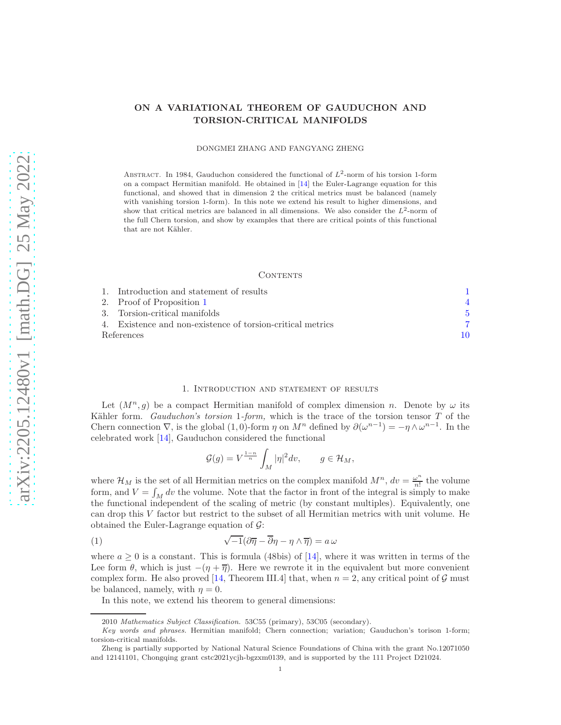# <span id="page-0-2"></span>ON A VARIATIONAL THEOREM OF GAUDUCHON AND TORSION-CRITICAL MANIFOLDS

#### DONGMEI ZHANG AND FANGYANG ZHENG

ABSTRACT. In 1984, Gauduchon considered the functional of  $L^2$ -norm of his torsion 1-form on a compact Hermitian manifold. He obtained in [\[14\]](#page-9-0) the Euler-Lagrange equation for this functional, and showed that in dimension 2 the critical metrics must be balanced (namely with vanishing torsion 1-form). In this note we extend his result to higher dimensions, and show that critical metrics are balanced in all dimensions. We also consider the  $L^2$ -norm of the full Chern torsion, and show by examples that there are critical points of this functional that are not Kähler.

#### CONTENTS

|            | 1. Introduction and statement of results                   |  |
|------------|------------------------------------------------------------|--|
|            | 2. Proof of Proposition 1                                  |  |
|            | 3. Torsion-critical manifolds                              |  |
|            | 4. Existence and non-existence of torsion-critical metrics |  |
| References |                                                            |  |

# 1. Introduction and statement of results

<span id="page-0-0"></span>Let  $(M^n, g)$  be a compact Hermitian manifold of complex dimension n. Denote by  $\omega$  its Kähler form. Gauduchon's torsion 1-form, which is the trace of the torsion tensor  $T$  of the Chern connection  $\nabla$ , is the global (1,0)-form  $\eta$  on  $M^n$  defined by  $\partial(\omega^{n-1}) = -\eta \wedge \omega^{n-1}$ . In the celebrated work [\[14\]](#page-9-0), Gauduchon considered the functional

<span id="page-0-1"></span>
$$
\mathcal{G}(g) = V^{\frac{1-n}{n}} \int_M |\eta|^2 dv, \qquad g \in \mathcal{H}_M,
$$

where  $\mathcal{H}_M$  is the set of all Hermitian metrics on the complex manifold  $M^n$ ,  $dv = \frac{\omega^n}{n!}$  $\frac{\omega^n}{n!}$  the volume form, and  $V = \int_M dv$  the volume. Note that the factor in front of the integral is simply to make the functional independent of the scaling of metric (by constant multiples). Equivalently, one can drop this V factor but restrict to the subset of all Hermitian metrics with unit volume. He obtained the Euler-Lagrange equation of  $\mathcal{G}$ :

(1) 
$$
\sqrt{-1}(\partial \overline{\eta} - \overline{\partial}\eta - \eta \wedge \overline{\eta}) = a \omega
$$

where  $a \geq 0$  is a constant. This is formula (48bis) of [\[14\]](#page-9-0), where it was written in terms of the Lee form  $\theta$ , which is just  $-(\eta + \overline{\eta})$ . Here we rewrote it in the equivalent but more convenient complex form. He also proved [\[14,](#page-9-0) Theorem III.4] that, when  $n = 2$ , any critical point of G must be balanced, namely, with  $\eta = 0$ .

In this note, we extend his theorem to general dimensions:

<sup>2010</sup> Mathematics Subject Classification. 53C55 (primary), 53C05 (secondary).

Key words and phrases. Hermitian manifold; Chern connection; variation; Gauduchon's torison 1-form; torsion-critical manifolds.

Zheng is partially supported by National Natural Science Foundations of China with the grant No.12071050 and 12141101, Chongqing grant cstc2021ycjh-bgzxm0139, and is supported by the 111 Project D21024.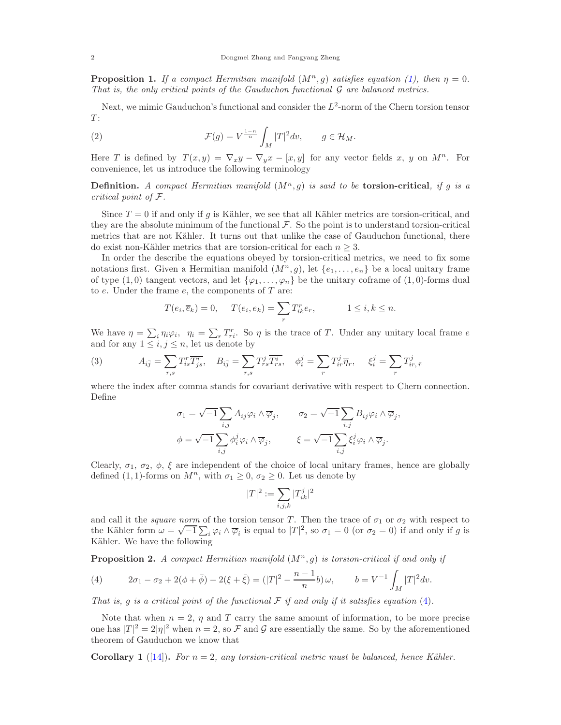<span id="page-1-4"></span><span id="page-1-0"></span>**Proposition 1.** If a compact Hermitian manifold  $(M^n, g)$  satisfies equation [\(1\)](#page-0-1), then  $\eta = 0$ . That is, the only critical points of the Gauduchon functional  $\mathcal G$  are balanced metrics.

Next, we mimic Gauduchon's functional and consider the  $L^2$ -norm of the Chern torsion tensor  $T$ :

<span id="page-1-3"></span>(2) 
$$
\mathcal{F}(g) = V^{\frac{1-n}{n}} \int_M |T|^2 dv, \qquad g \in \mathcal{H}_M.
$$

Here T is defined by  $T(x, y) = \nabla_x y - \nabla_y x - [x, y]$  for any vector fields x, y on  $M^n$ . For convenience, let us introduce the following terminology

**Definition.** A compact Hermitian manifold  $(M^n, g)$  is said to be **torsion-critical**, if g is a critical point of F.

Since  $T = 0$  if and only if g is Kähler, we see that all Kähler metrics are torsion-critical, and they are the absolute minimum of the functional  $\mathcal{F}$ . So the point is to understand torsion-critical metrics that are not Kähler. It turns out that unlike the case of Gauduchon functional, there do exist non-Kähler metrics that are torsion-critical for each  $n \geq 3$ .

In order the describe the equations obeyed by torsion-critical metrics, we need to fix some notations first. Given a Hermitian manifold  $(M^n, g)$ , let  $\{e_1, \ldots, e_n\}$  be a local unitary frame of type  $(1,0)$  tangent vectors, and let  $\{\varphi_1,\ldots,\varphi_n\}$  be the unitary coframe of  $(1,0)$ -forms dual to  $e$ . Under the frame  $e$ , the components of  $T$  are:

$$
T(e_i, \overline{e}_k) = 0, \quad T(e_i, e_k) = \sum_r T_{ik}^r e_r, \qquad 1 \le i, k \le n.
$$

We have  $\eta = \sum_i \eta_i \varphi_i$ ,  $\eta_i = \sum_r T_{ri}^r$ . So  $\eta$  is the trace of T. Under any unitary local frame e and for any  $1 \leq i, j \leq n$ , let us denote by

(3) 
$$
A_{i\overline{j}} = \sum_{r,s} T_{is}^r \overline{T_{js}^r}, \quad B_{i\overline{j}} = \sum_{r,s} T_{rs}^j \overline{T_{rs}^i}, \quad \phi_i^j = \sum_r T_{ir}^j \overline{\eta}_r, \quad \xi_i^j = \sum_r T_{ir,\bar{r}}^j
$$

where the index after comma stands for covariant derivative with respect to Chern connection. Define

$$
\begin{aligned} \sigma_1 &= \sqrt{-1} \sum_{i,j} A_{i\overline{j}} \varphi_i \wedge \overline{\varphi}_j, & \sigma_2 &= \sqrt{-1} \sum_{i,j} B_{i\overline{j}} \varphi_i \wedge \overline{\varphi}_j, \\ \phi &= \sqrt{-1} \sum_{i,j} \phi_i^j \varphi_i \wedge \overline{\varphi}_j, & \xi &= \sqrt{-1} \sum_{i,j} \xi_i^j \varphi_i \wedge \overline{\varphi}_j. \end{aligned}
$$

Clearly,  $\sigma_1$ ,  $\sigma_2$ ,  $\phi$ ,  $\xi$  are independent of the choice of local unitary frames, hence are globally defined  $(1, 1)$ -forms on  $M<sup>n</sup>$ , with  $\sigma_1 \geq 0$ ,  $\sigma_2 \geq 0$ . Let us denote by

$$
|T|^2:=\sum_{i,j,k}|T^j_{ik}|^2
$$

and call it the *square norm* of the torsion tensor T. Then the trace of  $\sigma_1$  or  $\sigma_2$  with respect to the Kähler form  $\omega = \sqrt{-1} \sum_i \varphi_i \wedge \overline{\varphi}_i$  is equal to  $|T|^2$ , so  $\sigma_1 = 0$  (or  $\sigma_2 = 0$ ) if and only if g is Kähler. We have the following

<span id="page-1-2"></span>**Proposition 2.** A compact Hermitian manifold  $(M^n, g)$  is torsion-critical if and only if

<span id="page-1-1"></span>(4) 
$$
2\sigma_1 - \sigma_2 + 2(\phi + \bar{\phi}) - 2(\xi + \bar{\xi}) = (|T|^2 - \frac{n-1}{n}b)\,\omega, \qquad b = V^{-1}\int_M |T|^2 dv.
$$

That is, g is a critical point of the functional  $\mathcal F$  if and only if it satisfies equation [\(4\)](#page-1-1).

Note that when  $n = 2$ ,  $\eta$  and T carry the same amount of information, to be more precise one has  $|T|^2 = 2|\eta|^2$  when  $n = 2$ , so  $\mathcal F$  and  $\mathcal G$  are essentially the same. So by the aforementioned theorem of Gauduchon we know that

**Corollary 1** ([\[14\]](#page-9-0)). For  $n = 2$ , any torsion-critical metric must be balanced, hence Kähler.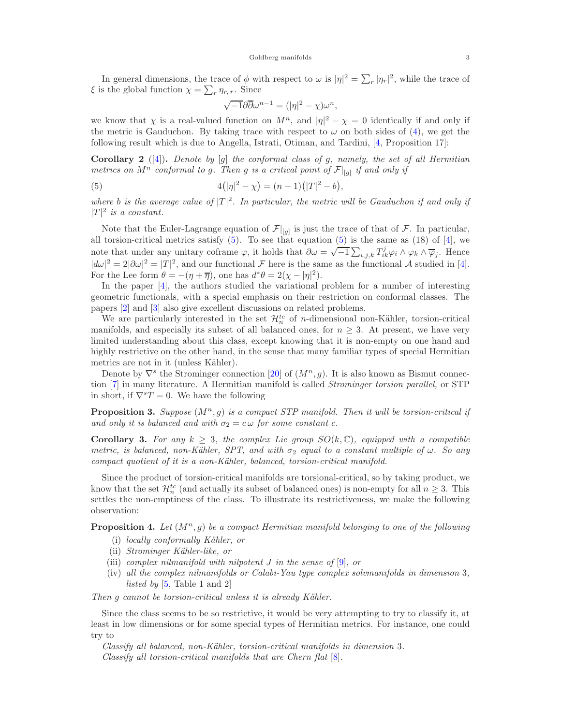<span id="page-2-3"></span>In general dimensions, the trace of  $\phi$  with respect to  $\omega$  is  $|\eta|^2 = \sum_r |\eta_r|^2$ , while the trace of  $\xi$  is the global function  $\chi = \sum_{r} \eta_{r,\bar{r}}$ . Since

<span id="page-2-0"></span>
$$
\sqrt{-1}\partial\overline{\partial}\omega^{n-1} = (|\eta|^2 - \chi)\omega^n,
$$

we know that  $\chi$  is a real-valued function on  $M^n$ , and  $|\eta|^2 - \chi = 0$  identically if and only if the metric is Gauduchon. By taking trace with respect to  $\omega$  on both sides of [\(4\)](#page-1-1), we get the following result which is due to Angella, Istrati, Otiman, and Tardini, [\[4,](#page-9-2) Proposition 17]:

**Corollary 2** ([\[4\]](#page-9-2)). Denote by [g] the conformal class of g, namely, the set of all Hermitian metrics on  $M^n$  conformal to g. Then g is a critical point of  $\mathcal{F}|_{[g]}$  if and only if

(5) 
$$
4(|\eta|^2 - \chi) = (n-1)(|T|^2 - b),
$$

where b is the average value of  $|T|^2$ . In particular, the metric will be Gauduchon if and only if  $|T|^2$  is a constant.

Note that the Euler-Lagrange equation of  $\mathcal{F}|_{[g]}$  is just the trace of that of  $\mathcal{F}$ . In particular, all torsion-critical metrics satisfy  $(5)$ . To see that equation  $(5)$  is the same as  $(18)$  of  $[4]$ , we note that under any unitary coframe  $\varphi$ , it holds that  $\partial \omega = \sqrt{-1} \sum_{i,j,k} T_{ik}^j \varphi_i \wedge \varphi_k \wedge \overline{\varphi}_j$ . Hence  $|d\omega|^2 = 2|\partial\omega|^2 = |T|^2$ , and our functional F here is the same as the functional A studied in [\[4\]](#page-9-2). For the Lee form  $\theta = -(\eta + \overline{\eta})$ , one has  $d^*\theta = 2(\chi - |\eta|^2)$ .

In the paper [\[4\]](#page-9-2), the authors studied the variational problem for a number of interesting geometric functionals, with a special emphasis on their restriction on conformal classes. The papers [\[2\]](#page-9-3) and [\[3\]](#page-9-4) also give excellent discussions on related problems.

We are particularly interested in the set  $\mathcal{H}_n^{tc}$  of *n*-dimensional non-Kähler, torsion-critical manifolds, and especially its subset of all balanced ones, for  $n \geq 3$ . At present, we have very limited understanding about this class, except knowing that it is non-empty on one hand and highly restrictive on the other hand, in the sense that many familiar types of special Hermitian metrics are not in it (unless Kähler).

Denote by  $\nabla^s$  the Strominger connection [\[20\]](#page-9-5) of  $(M^n, g)$ . It is also known as Bismut connection [\[7\]](#page-9-6) in many literature. A Hermitian manifold is called Strominger torsion parallel, or STP in short, if  $\nabla^s T = 0$ . We have the following

<span id="page-2-1"></span>**Proposition 3.** Suppose  $(M^n, g)$  is a compact STP manifold. Then it will be torsion-critical if and only it is balanced and with  $\sigma_2 = c \omega$  for some constant c.

**Corollary 3.** For any  $k \geq 3$ , the complex Lie group  $SO(k,\mathbb{C})$ , equipped with a compatible metric, is balanced, non-Kähler, SPT, and with  $\sigma_2$  equal to a constant multiple of  $\omega$ . So any  $compact\ quotient\ of\ it\ is\ a\ non-Kähler,\ balanced,\ torsion-critical\ manifold.$ 

Since the product of torsion-critical manifolds are torsional-critical, so by taking product, we know that the set  $\mathcal{H}_n^{tc}$  (and actually its subset of balanced ones) is non-empty for all  $n \geq 3$ . This settles the non-emptiness of the class. To illustrate its restrictiveness, we make the following observation:

<span id="page-2-2"></span>**Proposition 4.** Let  $(M^n, g)$  be a compact Hermitian manifold belonging to one of the following

- $(i)$  locally conformally Kähler, or
- (ii) Strominger Kähler-like, or
- (iii) complex nilmanifold with nilpotent  $J$  in the sense of  $[9]$ , or
- (iv) all the complex nilmanifolds or Calabi-Yau type complex solvmanifolds in dimension 3, *listed by*  $[5, Table 1 and 2]$  $[5, Table 1 and 2]$

Then  $q$  cannot be torsion-critical unless it is already Kähler.

Since the class seems to be so restrictive, it would be very attempting to try to classify it, at least in low dimensions or for some special types of Hermitian metrics. For instance, one could try to

Classify all balanced, non-Kähler, torsion-critical manifolds in dimension 3. Classify all torsion-critical manifolds that are Chern flat [\[8\]](#page-9-9).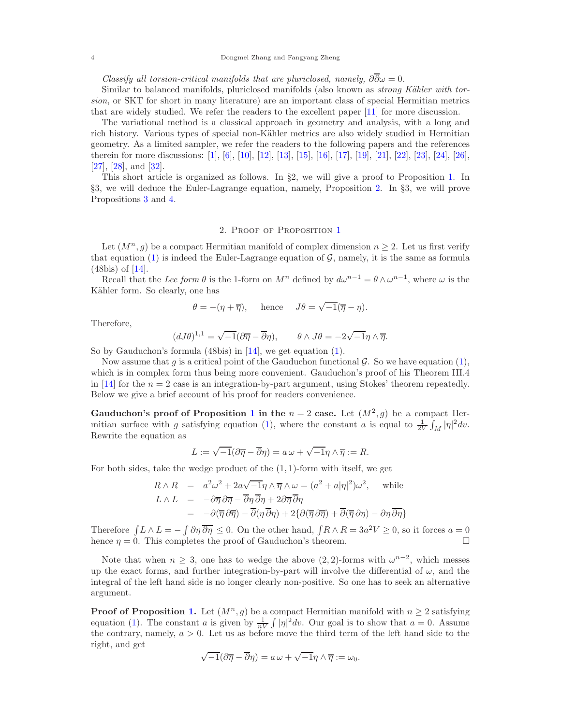<span id="page-3-1"></span>Classify all torsion-critical manifolds that are pluriclosed, namely,  $\partial \overline{\partial} \omega = 0$ .

Similar to balanced manifolds, pluriclosed manifolds (also known as *strong Kähler with tor*sion, or SKT for short in many literature) are an important class of special Hermitian metrics that are widely studied. We refer the readers to the excellent paper [\[11\]](#page-9-10) for more discussion.

The variational method is a classical approach in geometry and analysis, with a long and rich history. Various types of special non-Kähler metrics are also widely studied in Hermitian geometry. As a limited sampler, we refer the readers to the following papers and the references therein for more discussions: [\[1\]](#page-9-11), [\[6\]](#page-9-12), [\[10\]](#page-9-13), [\[12\]](#page-9-14), [\[13\]](#page-9-15), [\[15\]](#page-9-16), [\[16\]](#page-9-17), [\[17\]](#page-9-18), [\[19\]](#page-9-19), [\[21\]](#page-9-20), [\[22\]](#page-9-21), [\[23\]](#page-9-22), [\[24\]](#page-9-23), [\[26\]](#page-9-24), [\[27\]](#page-9-25), [\[28\]](#page-9-26), and [\[32\]](#page-10-0).

This short article is organized as follows. In §2, we will give a proof to Proposition [1.](#page-1-0) In §3, we will deduce the Euler-Lagrange equation, namely, Proposition [2.](#page-1-2) In §3, we will prove Propositions [3](#page-2-1) and [4.](#page-2-2)

## 2. PROOF OF PROPOSITION [1](#page-1-0)

<span id="page-3-0"></span>Let  $(M^n, g)$  be a compact Hermitian manifold of complex dimension  $n \geq 2$ . Let us first verify that equation [\(1\)](#page-0-1) is indeed the Euler-Lagrange equation of  $\mathcal{G}$ , namely, it is the same as formula (48bis) of [\[14\]](#page-9-0).

Recall that the Lee form  $\theta$  is the 1-form on  $M^n$  defined by  $d\omega^{n-1} = \theta \wedge \omega^{n-1}$ , where  $\omega$  is the Kähler form. So clearly, one has

$$
\theta = -(\eta + \overline{\eta}),
$$
 hence  $J\theta = \sqrt{-1}(\overline{\eta} - \eta).$ 

Therefore,

$$
(dJ\theta)^{1,1} = \sqrt{-1}(\partial \overline{\eta} - \overline{\partial} \eta), \qquad \theta \wedge J\theta = -2\sqrt{-1}\eta \wedge \overline{\eta}.
$$

So by Gauduchon's formula (48bis) in [\[14\]](#page-9-0), we get equation [\(1\)](#page-0-1).

Now assume that g is a critical point of the Gauduchon functional  $\mathcal G$ . So we have equation [\(1\)](#page-0-1), which is in complex form thus being more convenient. Gauduchon's proof of his Theorem III.4 in [\[14\]](#page-9-0) for the  $n = 2$  case is an integration-by-part argument, using Stokes' theorem repeatedly. Below we give a brief account of his proof for readers convenience.

Gauduchon's proof of Proposition [1](#page-1-0) in the  $n = 2$  case. Let  $(M^2, g)$  be a compact Her-mitian surface with g satisfying equation [\(1\)](#page-0-1), where the constant a is equal to  $\frac{1}{2V} \int_M |\eta|^2 dv$ . Rewrite the equation as

$$
L := \sqrt{-1}(\partial \overline{\eta} - \overline{\partial}\eta) = a\,\omega + \sqrt{-1}\eta \wedge \overline{\eta} := R.
$$

For both sides, take the wedge product of the  $(1, 1)$ -form with itself, we get

$$
R \wedge R = a^2 \omega^2 + 2a\sqrt{-1}\eta \wedge \overline{\eta} \wedge \omega = (a^2 + a|\eta|^2)\omega^2, \text{ while}
$$
  
\n
$$
L \wedge L = -\partial \overline{\eta} \partial \overline{\eta} - \overline{\partial} \eta \overline{\partial} \eta + 2\partial \overline{\eta} \overline{\partial} \eta
$$
  
\n
$$
= -\partial(\overline{\eta} \partial \overline{\eta}) - \overline{\partial} (\eta \overline{\partial} \eta) + 2\{\partial(\overline{\eta} \partial \overline{\eta}) + \overline{\partial}(\overline{\eta} \partial \eta) - \partial \eta \overline{\partial} \eta\}
$$

Therefore  $\int L \wedge L = -\int \partial \eta \overline{\partial \eta} \leq 0$ . On the other hand,  $\int R \wedge R = 3a^2 V \geq 0$ , so it forces  $a = 0$ hence  $\eta = 0$ . This completes the proof of Gauduchon's theorem.

Note that when  $n \geq 3$ , one has to wedge the above  $(2, 2)$ -forms with  $\omega^{n-2}$ , which messes up the exact forms, and further integration-by-part will involve the differential of  $\omega$ , and the integral of the left hand side is no longer clearly non-positive. So one has to seek an alternative argument.

**Proof of Proposition [1.](#page-1-0)** Let  $(M^n, g)$  be a compact Hermitian manifold with  $n \geq 2$  satisfying equation [\(1\)](#page-0-1). The constant a is given by  $\frac{1}{nV} \int |\eta|^2 dv$ . Our goal is to show that  $a = 0$ . Assume the contrary, namely,  $a > 0$ . Let us as before move the third term of the left hand side to the right, and get

$$
\sqrt{-1}(\partial\overline{\eta}-\overline{\partial}\eta)=a\,\omega+\sqrt{-1}\eta\wedge\overline{\eta}:=\omega_0.
$$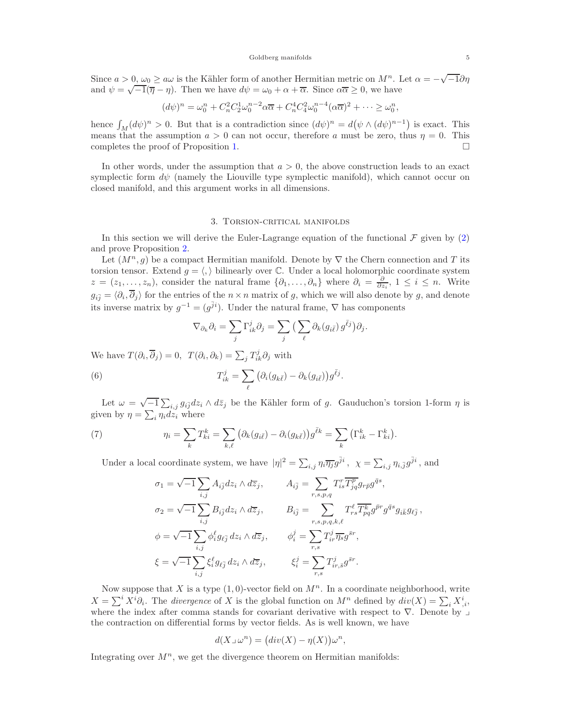Since  $a > 0$ ,  $\omega_0 \ge a\omega$  is the Kähler form of another Hermitian metric on  $M^n$ . Let  $\alpha = -\sqrt{-1}\partial\eta$ and  $\psi = \sqrt{-1}(\overline{\eta} - \eta)$ . Then we have  $d\psi = \omega_0 + \alpha + \overline{\alpha}$ . Since  $\alpha \overline{\alpha} \ge 0$ , we have

$$
(d\psi)^n = \omega_0^n + C_n^2 C_2^1 \omega_0^{n-2} \alpha \overline{\alpha} + C_n^4 C_4^2 \omega_0^{n-4} (\alpha \overline{\alpha})^2 + \dots \ge \omega_0^n,
$$

hence  $\int_M (d\psi)^n > 0$ . But that is a contradiction since  $(d\psi)^n = d(\psi \wedge (d\psi)^{n-1})$  is exact. This means that the assumption  $a > 0$  can not occur, therefore a must be zero, thus  $\eta = 0$ . This completes the proof of Proposition [1.](#page-1-0)

In other words, under the assumption that  $a > 0$ , the above construction leads to an exact symplectic form  $d\psi$  (namely the Liouville type symplectic manifold), which cannot occur on closed manifold, and this argument works in all dimensions.

### 3. Torsion-critical manifolds

<span id="page-4-0"></span>In this section we will derive the Euler-Lagrange equation of the functional  $\mathcal F$  given by [\(2\)](#page-1-3) and prove Proposition [2.](#page-1-2)

Let  $(M^n, g)$  be a compact Hermitian manifold. Denote by  $\nabla$  the Chern connection and T its torsion tensor. Extend  $g = \langle , \rangle$  bilinearly over C. Under a local holomorphic coordinate system  $z = (z_1, \ldots, z_n)$ , consider the natural frame  $\{\partial_1, \ldots, \partial_n\}$  where  $\partial_i = \frac{\partial}{\partial z_i}$ ,  $1 \leq i \leq n$ . Write  $g_{i\bar{j}} = \langle \partial_i, \partial_j \rangle$  for the entries of the  $n \times n$  matrix of g, which we will also denote by g, and denote its inverse matrix by  $g^{-1} = (g^{\bar{j}i})$ . Under the natural frame,  $\nabla$  has components

<span id="page-4-1"></span>
$$
\nabla_{\partial_k} \partial_i = \sum_j \Gamma^j_{ik} \partial_j = \sum_j \left( \sum_\ell \partial_k (g_{i\bar{\ell}}) g^{\bar{\ell}j} \right) \partial_j.
$$

We have  $T(\partial_i, \overline{\partial}_j) = 0$ ,  $T(\partial_i, \partial_k) = \sum_j T_{ik}^j \partial_j$  with

(6) 
$$
T_{ik}^j = \sum_{\ell} \left( \partial_i (g_{k\bar{\ell}}) - \partial_k (g_{i\bar{\ell}}) \right) g^{\bar{\ell}j}.
$$

Let  $\omega = \sqrt{-1} \sum_{i,j} g_{i\bar{j}} dz_i \wedge d\bar{z}_j$  be the Kähler form of g. Gauduchon's torsion 1-form  $\eta$  is given by  $\eta = \sum_i \eta_i dz_i$  where

(7) 
$$
\eta_i = \sum_k T_{ki}^k = \sum_{k,\ell} \left( \partial_k (g_{i\bar{\ell}}) - \partial_i (g_{k\bar{\ell}}) \right) g^{\bar{\ell}k} = \sum_k \left( \Gamma_{ik}^k - \Gamma_{ki}^k \right).
$$

Under a local coordinate system, we have  $|\eta|^2 = \sum_{i,j} \eta_i \overline{\eta_j} g^{ji}$ ,  $\chi = \sum_{i,j} \eta_{i,\overline{j}} g^{\overline{j}i}$ , and

$$
\sigma_1 = \sqrt{-1} \sum_{i,j} A_{i\bar{j}} dz_i \wedge d\overline{z}_j, \qquad A_{i\bar{j}} = \sum_{r,s,p,q} T_{is}^r \overline{T_{jq}^p} g_{r\bar{p}} g^{\bar{q}s},
$$
  
\n
$$
\sigma_2 = \sqrt{-1} \sum_{i,j} B_{i\bar{j}} dz_i \wedge d\overline{z}_j, \qquad B_{i\bar{j}} = \sum_{r,s,p,q,k,\ell} T_{rs}^\ell \overline{T_{pq}^k} g^{\bar{p}r} g^{\bar{q}s} g_{i\bar{k}} g_{\ell\bar{j}},
$$
  
\n
$$
\phi = \sqrt{-1} \sum_{i,j} \phi_i^\ell g_{\ell\bar{j}} dz_i \wedge d\overline{z}_j, \qquad \phi_i^j = \sum_{r,s} T_{ir}^j \overline{\eta_s} g^{\bar{s}r},
$$
  
\n
$$
\xi = \sqrt{-1} \sum_{i,j} \xi_i^\ell g_{\ell\bar{j}} dz_i \wedge d\overline{z}_j, \qquad \xi_i^j = \sum_{r,s} T_{ir,\bar{s}}^j g^{\bar{s}r}.
$$

Now suppose that X is a type  $(1, 0)$ -vector field on  $M<sup>n</sup>$ . In a coordinate neighborhood, write  $X = \sum_{i}^{i} X^{i} \partial_{i}$ . The *divergence* of X is the global function on  $M^{n}$  defined by  $div(X) = \sum_{i} X^{i}_{i}$ , where the index after comma stands for covariant derivative with respect to  $\nabla$ . Denote by y the contraction on differential forms by vector fields. As is well known, we have

$$
d(X \lrcorner \,\omega^n) = \bigl( div(X) - \eta(X) \bigr) \omega^n,
$$

Integrating over  $M^n$ , we get the divergence theorem on Hermitian manifolds: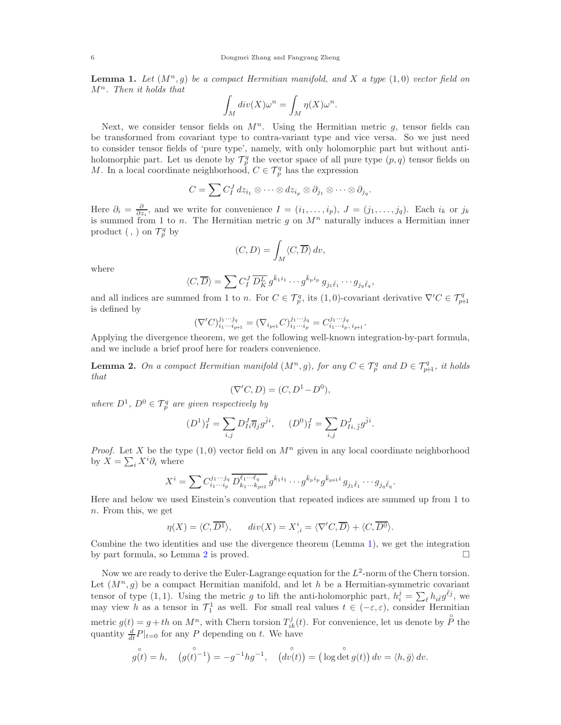<span id="page-5-0"></span>**Lemma 1.** Let  $(M^n, g)$  be a compact Hermitian manifold, and X a type  $(1, 0)$  vector field on  $M^n$ . Then it holds that

$$
\int_M div(X)\omega^n = \int_M \eta(X)\omega^n.
$$

Next, we consider tensor fields on  $M^n$ . Using the Hermitian metric q, tensor fields can be transformed from covariant type to contra-variant type and vice versa. So we just need to consider tensor fields of 'pure type', namely, with only holomorphic part but without antiholomorphic part. Let us denote by  $\mathcal{T}_p^q$  the vector space of all pure type  $(p, q)$  tensor fields on M. In a local coordinate neighborhood,  $C \in \mathcal{T}_p^q$  has the expression

$$
C=\sum C_I^J\,dz_{i_1}\otimes\cdots\otimes dz_{i_p}\otimes\partial_{j_1}\otimes\cdots\otimes\partial_{j_q}.
$$

Here  $\partial_i = \frac{\partial}{\partial z_i}$ , and we write for convenience  $I = (i_1, \ldots, i_p)$ ,  $J = (j_1, \ldots, j_q)$ . Each  $i_k$  or  $j_k$ is summed from 1 to n. The Hermitian metric  $g$  on  $M<sup>n</sup>$  naturally induces a Hermitian inner product ( , ) on  $\mathcal{T}_p^q$  by

$$
(C,D)=\int_M \langle C,\overline D\rangle\,dv,
$$

where

$$
\langle C, \overline{D} \rangle = \sum C_I^J \overline{D_K^L} g^{\bar{k}_1 i_1} \cdots g^{\bar{k}_p i_p} g_{j_1 \bar{\ell}_1} \cdots g_{j_q \bar{\ell}_q},
$$

and all indices are summed from 1 to n. For  $C \in \mathcal{T}_{p}^q$ , its  $(1,0)$ -covariant derivative  $\nabla' C \in \mathcal{T}_{p+1}^q$ is defined by

$$
(\nabla' C)^{j_1 \cdots j_q}_{i_1 \cdots i_{p+1}} = (\nabla_{i_{p+1}} C)^{j_1 \cdots j_q}_{i_1 \cdots i_p} = C^{j_1 \cdots j_q}_{i_1 \cdots i_p, i_{p+1}}.
$$

Applying the divergence theorem, we get the following well-known integration-by-part formula, and we include a brief proof here for readers convenience.

<span id="page-5-1"></span>**Lemma 2.** On a compact Hermitian manifold  $(M^n, g)$ , for any  $C \in \mathcal{T}_p^q$  and  $D \in \mathcal{T}_{p+1}^q$ , it holds that

$$
(\nabla^{\prime}C, D) = (C, D^1 - D^0),
$$

where  $D^1$ ,  $D^0 \in \mathcal{T}_p^q$  are given respectively by

$$
(D^1)_I^J = \sum_{i,j} D_{Ii}^J \overline{\eta}_j g^{\overline{j}i}, \qquad (D^0)_I^J = \sum_{i,j} D_{Ii,\overline{j}}^J g^{\overline{j}i}.
$$

*Proof.* Let X be the type  $(1, 0)$  vector field on  $M<sup>n</sup>$  given in any local coordinate neighborhood by  $X = \sum_i X^i \partial_i$  where

$$
X^{i} = \sum C_{i_1 \cdots i_p}^{j_1 \cdots j_q} \overline{D_{k_1 \cdots k_{p+1}}^{\ell_1 \cdots \ell_q}} g^{\bar{k}_1 i_1} \cdots g^{\bar{k}_p i_p} g^{\bar{k}_{p+1} i} g_{j_1 \bar{\ell}_1} \cdots g_{j_q \bar{\ell}_q}
$$

.

Here and below we used Einstein's convention that repeated indices are summed up from 1 to n. From this, we get

$$
\eta(X) = \langle C, \overline{D^1} \rangle, \quad div(X) = X^i_{,i} = \langle \nabla' C, \overline{D} \rangle + \langle C, \overline{D^0} \rangle.
$$

Combine the two identities and use the divergence theorem (Lemma [1\)](#page-5-0), we get the integration by part formula, so Lemma [2](#page-5-1) is proved.

Now we are ready to derive the Euler-Lagrange equation for the  $L^2$ -norm of the Chern torsion. Let  $(M^n, g)$  be a compact Hermitian manifold, and let h be a Hermitian-symmetric covariant tensor of type (1, 1). Using the metric g to lift the anti-holomorphic part,  $h_i^j = \sum_{\ell} h_{i\bar{\ell}} g^{\bar{\ell}j}$ , we may view h as a tensor in  $\mathcal{T}_1^1$  as well. For small real values  $t \in (-\varepsilon, \varepsilon)$ , consider Hermitian metric  $g(t) = g + th$  on  $M<sup>n</sup>$ , with Chern torsion  $T_{ik}^{j}(t)$ . For convenience, let us denote by ◦ P the quantity  $\frac{d}{dt}P|_{t=0}$  for any P depending on t. We have

$$
g(t) = h
$$
,  $(g(t)^{-1}) = -g^{-1}hg^{-1}$ ,  $(dv(t)) = (\log \det g(t)) dv = \langle h, \bar{g} \rangle dv$ .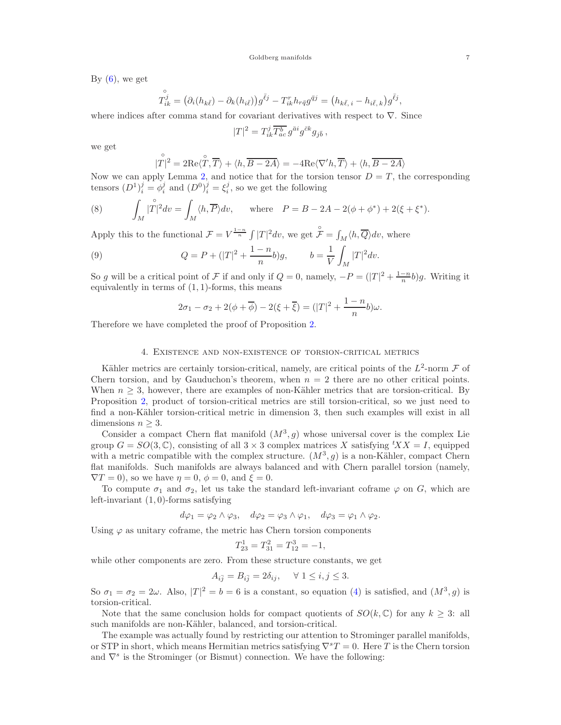By  $(6)$ , we get

$$
T_{ik}^{\circ} = (\partial_i (h_{k\bar{\ell}}) - \partial_k (h_{i\bar{\ell}})) g^{\bar{\ell}j} - T_{ik}^r h_{r\bar{q}} g^{\bar{q}j} = (h_{k\bar{\ell},i} - h_{i\bar{\ell},k}) g^{\bar{\ell}j},
$$

where indices after comma stand for covariant derivatives with respect to  $\nabla$ . Since

$$
|T|^2 = T_{ik}^j \overline{T_{ac}^b} g^{\bar{a}i} g^{\bar{c}k} g_{j\bar{b}}
$$

,

we get

$$
|\overset{\circ}{T}|^2 = 2\mathrm{Re}\langle \overset{\circ}{T}, \overline{T} \rangle + \langle h, \overline{B - 2A} \rangle = -4\mathrm{Re}\langle \nabla' h, \overline{T} \rangle + \langle h, \overline{B - 2A} \rangle
$$

Now we can apply Lemma [2,](#page-5-1) and notice that for the torsion tensor  $D = T$ , the corresponding tensors  $(D^1)^j_i = \phi^j_i$  and  $(D^0)^j_i = \xi^j_i$ , so we get the following

(8) 
$$
\int_M |\mathring{T}|^2 dv = \int_M \langle h, \overline{P} \rangle dv, \quad \text{where} \quad P = B - 2A - 2(\phi + \phi^*) + 2(\xi + \xi^*).
$$

Apply this to the functional  $\mathcal{F} = V^{\frac{1-n}{n}} \int |T|^2 dv$ , we get  $\hat{\mathcal{F}}$  $\mathcal{F} = \int_M \langle h, \overline{Q} \rangle dv$ , where

(9) 
$$
Q = P + (|T|^2 + \frac{1-n}{n}b)g, \qquad b = \frac{1}{V} \int_M |T|^2 dv.
$$

So g will be a critical point of F if and only if  $Q = 0$ , namely,  $-P = (|T|^2 + \frac{1-n}{n}b)g$ . Writing it equivalently in terms of  $(1, 1)$ -forms, this means

$$
2\sigma_1 - \sigma_2 + 2(\phi + \overline{\phi}) - 2(\xi + \overline{\xi}) = (|T|^2 + \frac{1-n}{n}b)\omega.
$$

<span id="page-6-0"></span>Therefore we have completed the proof of Proposition [2.](#page-1-2)

### 4. Existence and non-existence of torsion-critical metrics

Kähler metrics are certainly torsion-critical, namely, are critical points of the  $L^2$ -norm  $\mathcal F$  of Chern torsion, and by Gauduchon's theorem, when  $n = 2$  there are no other critical points. When  $n \geq 3$ , however, there are examples of non-Kähler metrics that are torsion-critical. By Proposition [2,](#page-1-2) product of torsion-critical metrics are still torsion-critical, so we just need to find a non-Kähler torsion-critical metric in dimension 3, then such examples will exist in all dimensions  $n \geq 3$ .

Consider a compact Chern flat manifold  $(M^3, g)$  whose universal cover is the complex Lie group  $G = SO(3, \mathbb{C})$ , consisting of all  $3 \times 3$  complex matrices X satisfying  $X = I$ , equipped with a metric compatible with the complex structure.  $(M^3, g)$  is a non-Kähler, compact Chern flat manifolds. Such manifolds are always balanced and with Chern parallel torsion (namely,  $\nabla T = 0$ , so we have  $\eta = 0$ ,  $\phi = 0$ , and  $\xi = 0$ .

To compute  $\sigma_1$  and  $\sigma_2$ , let us take the standard left-invariant coframe  $\varphi$  on G, which are left-invariant (1, 0)-forms satisfying

$$
d\varphi_1 = \varphi_2 \wedge \varphi_3, \quad d\varphi_2 = \varphi_3 \wedge \varphi_1, \quad d\varphi_3 = \varphi_1 \wedge \varphi_2.
$$

Using  $\varphi$  as unitary coframe, the metric has Chern torsion components

$$
T_{23}^1 = T_{31}^2 = T_{12}^3 = -1,
$$

while other components are zero. From these structure constants, we get

$$
A_{i\bar{j}} = B_{i\bar{j}} = 2\delta_{ij}, \quad \forall \ 1 \le i, j \le 3.
$$

So  $\sigma_1 = \sigma_2 = 2\omega$ . Also,  $|T|^2 = b = 6$  is a constant, so equation [\(4\)](#page-1-1) is satisfied, and  $(M^3, g)$  is torsion-critical.

Note that the same conclusion holds for compact quotients of  $SO(k,\mathbb{C})$  for any  $k \geq 3$ : all such manifolds are non-Kähler, balanced, and torsion-critical.

The example was actually found by restricting our attention to Strominger parallel manifolds, or STP in short, which means Hermitian metrics satisfying  $\nabla^sT = 0$ . Here T is the Chern torsion and  $\nabla^s$  is the Strominger (or Bismut) connection. We have the following: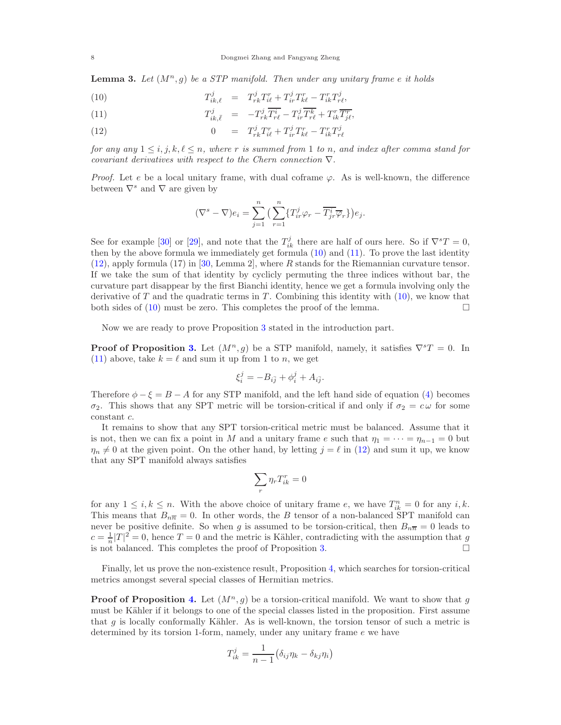<span id="page-7-1"></span>**Lemma 3.** Let  $(M^n, g)$  be a STP manifold. Then under any unitary frame e it holds

(10) 
$$
T_{ik,\ell}^j = T_{rk}^j T_{i\ell}^r + T_{ir}^j T_{k\ell}^r - T_{ik}^r T_{r\ell}^j,
$$

(11) 
$$
T_{ik,\bar{\ell}}^j = -T_{rk}^j \overline{T_{r\ell}^i} - T_{ir}^j \overline{T_{r\ell}^k} + T_{ik}^r \overline{T_{j\ell}^r},
$$

(12) 
$$
0 = T_{rk}^j T_{i\ell}^r + T_{ir}^j T_{k\ell}^r - T_{ik}^r T_{r\ell}^j
$$

for any any  $1 \le i, j, k, \ell \le n$ , where r is summed from 1 to n, and index after comma stand for covariant derivatives with respect to the Chern connection  $\nabla$ .

*Proof.* Let e be a local unitary frame, with dual coframe  $\varphi$ . As is well-known, the difference between  $\nabla^s$  and  $\nabla$  are given by

<span id="page-7-0"></span>
$$
(\nabla^s - \nabla)e_i = \sum_{j=1}^n \left( \sum_{r=1}^n \{T_{ir}^j \varphi_r - \overline{T_{jr}^i \varphi_r} \} \right) e_j.
$$

See for example [\[30\]](#page-9-27) or [\[29\]](#page-9-28), and note that the  $T_{ik}^j$  there are half of ours here. So if  $\nabla^s T = 0$ , then by the above formula we immediately get formula [\(10\)](#page-7-0) and [\(11\)](#page-7-0). To prove the last identity [\(12\)](#page-7-0), apply formula (17) in [\[30,](#page-9-27) Lemma 2], where R stands for the Riemannian curvature tensor. If we take the sum of that identity by cyclicly permuting the three indices without bar, the curvature part disappear by the first Bianchi identity, hence we get a formula involving only the derivative of  $T$  and the quadratic terms in  $T$ . Combining this identity with  $(10)$ , we know that both sides of [\(10\)](#page-7-0) must be zero. This completes the proof of the lemma.  $\Box$ 

Now we are ready to prove Proposition [3](#page-2-1) stated in the introduction part.

**Proof of Proposition [3.](#page-2-1)** Let  $(M^n, g)$  be a STP manifold, namely, it satisfies  $\nabla^s T = 0$ . In [\(11\)](#page-7-0) above, take  $k = \ell$  and sum it up from 1 to n, we get

$$
\xi_i^j = -B_{i\bar{j}} + \phi_i^j + A_{i\bar{j}}.
$$

Therefore  $\phi - \xi = B - A$  for any STP manifold, and the left hand side of equation [\(4\)](#page-1-1) becomes σ<sub>2</sub>. This shows that any SPT metric will be torsion-critical if and only if  $\sigma_2 = c \omega$  for some constant c.

It remains to show that any SPT torsion-critical metric must be balanced. Assume that it is not, then we can fix a point in M and a unitary frame e such that  $\eta_1 = \cdots = \eta_{n-1} = 0$  but  $\eta_n \neq 0$  at the given point. On the other hand, by letting  $j = \ell$  in [\(12\)](#page-7-0) and sum it up, we know that any SPT manifold always satisfies

$$
\sum_r \eta_r T_{ik}^r = 0
$$

for any  $1 \le i, k \le n$ . With the above choice of unitary frame e, we have  $T_{ik}^n = 0$  for any  $i, k$ . This means that  $B_{n\overline{n}} = 0$ . In other words, the B tensor of a non-balanced SPT manifold can never be positive definite. So when g is assumed to be torsion-critical, then  $B_{n\overline{n}} = 0$  leads to  $c = \frac{1}{n}|T|^2 = 0$ , hence  $T = 0$  and the metric is Kähler, contradicting with the assumption that g is not balanced. This completes the proof of Proposition [3.](#page-2-1)

Finally, let us prove the non-existence result, Proposition [4,](#page-2-2) which searches for torsion-critical metrics amongst several special classes of Hermitian metrics.

**Proof of Proposition [4.](#page-2-2)** Let  $(M^n, g)$  be a torsion-critical manifold. We want to show that g must be Kähler if it belongs to one of the special classes listed in the proposition. First assume that g is locally conformally Kähler. As is well-known, the torsion tensor of such a metric is determined by its torsion 1-form, namely, under any unitary frame e we have

$$
T_{ik}^j = \frac{1}{n-1} \big( \delta_{ij} \eta_k - \delta_{kj} \eta_i \big)
$$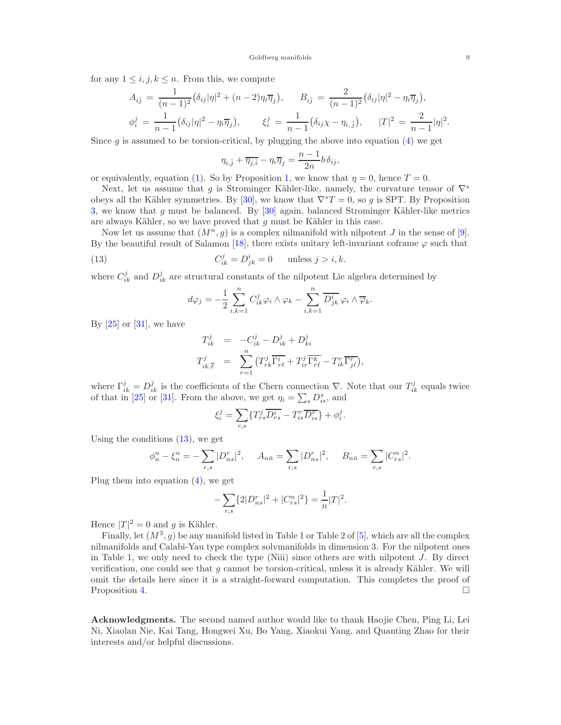<span id="page-8-1"></span>for any  $1 \leq i, j, k \leq n$ . From this, we compute

$$
A_{i\bar{j}} = \frac{1}{(n-1)^2} (\delta_{i\bar{j}} |\eta|^2 + (n-2)\eta_i \overline{\eta}_j), \qquad B_{i\bar{j}} = \frac{2}{(n-1)^2} (\delta_{i\bar{j}} |\eta|^2 - \eta_i \overline{\eta}_j),
$$
  

$$
\phi_i^j = \frac{1}{n-1} (\delta_{i\bar{j}} |\eta|^2 - \eta_i \overline{\eta}_j), \qquad \xi_i^j = \frac{1}{n-1} (\delta_{i\bar{j}} \chi - \eta_{i,\bar{j}}), \qquad |T|^2 = \frac{2}{n-1} |\eta|^2.
$$

Since  $g$  is assumed to be torsion-critical, by plugging the above into equation  $(4)$  we get

$$
\eta_{i,\overline{j}} + \overline{\eta_{j,\overline{i}}} - \eta_i \overline{\eta}_j = \frac{n-1}{2n} b \,\delta_{ij},
$$

or equivalently, equation [\(1\)](#page-0-1). So by Proposition [1,](#page-1-0) we know that  $\eta = 0$ , hence  $T = 0$ .

Next, let us assume that g is Strominger Kähler-like, namely, the curvature tensor of  $\nabla^s$ obeys all the Kähler symmetries. By [\[30\]](#page-9-27), we know that  $\nabla^sT = 0$ , so g is SPT. By Proposition [3,](#page-2-1) we know that  $g$  must be balanced. By [\[30\]](#page-9-27) again, balanced Strominger Kähler-like metrics are always Kähler, so we have proved that  $g$  must be Kähler in this case.

Now let us assume that  $(M^n, g)$  is a complex nilmanifold with nilpotent J in the sense of [\[9\]](#page-9-7). By the beautiful result of Salamon [\[18\]](#page-9-29), there exists unitary left-invariant coframe  $\varphi$  such that

(13) 
$$
C_{ik}^j = D_{jk}^i = 0 \quad \text{unless } j > i, k.
$$

where  $C_{ik}^j$  and  $D_{ik}^j$  are structural constants of the nilpotent Lie algebra determined by

<span id="page-8-0"></span>
$$
d\varphi_j = -\frac{1}{2}\sum_{i,k=1}^n C_{ik}^j \varphi_i \wedge \varphi_k - \sum_{i,k=1}^n \overline{D_{jk}^i} \varphi_i \wedge \overline{\varphi}_k.
$$

By  $[25]$  or  $[31]$ , we have

$$
T_{ik}^j = -C_{ik}^j - D_{ik}^j + D_{ki}^j
$$
  
\n
$$
T_{ik,\overline{\ell}}^j = \sum_{r=1}^n (T_{rk}^j \overline{\Gamma_{r\ell}^i} + T_{ir}^j \overline{\Gamma_{r\ell}^k} - T_{ik}^r \overline{\Gamma_{j\ell}^r}),
$$

where  $\Gamma_{ik}^j = D_{ik}^j$  is the coefficients of the Chern connection  $\nabla$ . Note that our  $T_{ik}^j$  equals twice of that in [\[25\]](#page-9-30) or [\[31\]](#page-10-1). From the above, we get  $\eta_i = \sum_s D_{is}^s$ , and

$$
\xi_i^j = \sum_{r,s} \{ T_{rs}^j \overline{D_{rs}^i} - T_{is}^r \overline{D_{is}^r} \} + \phi_i^j.
$$

Using the conditions  $(13)$ , we get

$$
\phi_n^n - \xi_n^n = -\sum_{r,s} |D_{ns}^r|^2, \quad A_{n\bar{n}} = \sum_{r,s} |D_{ns}^r|^2, \quad B_{n\bar{n}} = \sum_{r,s} |C_{rs}^n|^2.
$$

Plug them into equation  $(4)$ , we get

$$
-\sum_{r,s}\{2|D^r_{ns}|^2+|C^n_{rs}|^2\}=\frac{1}{n}|T|^2.
$$

Hence  $|T|^2 = 0$  and g is Kähler.

Finally, let  $(M^3, g)$  be any manifold listed in Table 1 or Table 2 of [\[5\]](#page-9-8), which are all the complex nilmanifolds and Calabi-Yau type complex solvmanifolds in dimension 3. For the nilpotent ones in Table 1, we only need to check the type (Niii) since others are with nilpotent  $J$ . By direct verification, one could see that  $g$  cannot be torsion-critical, unless it is already Kähler. We will omit the details here since it is a straight-forward computation. This completes the proof of Proposition [4.](#page-2-2)

Acknowledgments. The second named author would like to thank Haojie Chen, Ping Li, Lei Ni, Xiaolan Nie, Kai Tang, Hongwei Xu, Bo Yang, Xiaokui Yang, and Quanting Zhao for their interests and/or helpful discussions.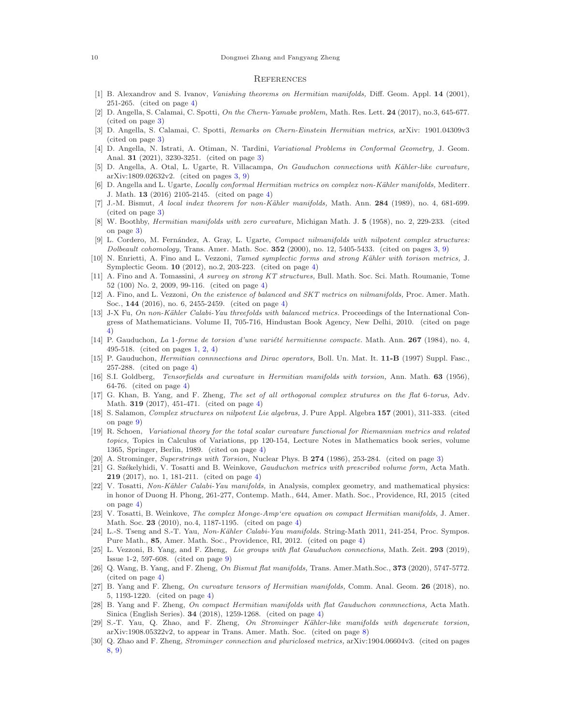#### 10 Dongmei Zhang and Fangyang Zheng

### <span id="page-9-1"></span>**REFERENCES**

- <span id="page-9-11"></span><span id="page-9-3"></span>[1] B. Alexandrov and S. Ivanov, Vanishing theorems on Hermitian manifolds, Diff. Geom. Appl. 14 (2001), 251-265. (cited on page [4\)](#page-3-1)
- [2] D. Angella, S. Calamai, C. Spotti, On the Chern-Yamabe problem, Math. Res. Lett. 24 (2017), no.3, 645-677. (cited on page [3\)](#page-2-3)
- <span id="page-9-4"></span>[3] D. Angella, S. Calamai, C. Spotti, Remarks on Chern-Einstein Hermitian metrics, arXiv: 1901.04309v3 (cited on page [3\)](#page-2-3)
- <span id="page-9-2"></span>[4] D. Angella, N. Istrati, A. Otiman, N. Tardini, Variational Problems in Conformal Geometry, J. Geom. Anal. 31 (2021), 3230-3251. (cited on page [3\)](#page-2-3)
- <span id="page-9-8"></span>[5] D. Angella, A. Otal, L. Ugarte, R. Villacampa, On Gauduchon connections with Kähler-like curvature, arXiv:1809.02632v2. (cited on pages [3,](#page-2-3) [9\)](#page-8-1)
- <span id="page-9-12"></span>[6] D. Angella and L. Ugarte, *Locally conformal Hermitian metrics on complex non-Kähler manifolds*, Mediterr. J. Math. 13 (2016) 2105-2145. (cited on page [4\)](#page-3-1)
- <span id="page-9-6"></span>[7] J.-M. Bismut, A local index theorem for non-Kähler manifolds, Math. Ann. 284 (1989), no. 4, 681-699. (cited on page [3\)](#page-2-3)
- <span id="page-9-9"></span>[8] W. Boothby, Hermitian manifolds with zero curvature, Michigan Math. J. 5 (1958), no. 2, 229-233. (cited on page [3\)](#page-2-3)
- <span id="page-9-7"></span>[9] L. Cordero, M. Fernández, A. Gray, L. Ugarte, Compact nilmanifolds with nilpotent complex structures: Dolbeault cohomology, Trans. Amer. Math. Soc. 352 (2000), no. 12, 5405-5433. (cited on pages [3,](#page-2-3) [9\)](#page-8-1)
- <span id="page-9-13"></span>[10] N. Enrietti, A. Fino and L. Vezzoni, *Tamed symplectic forms and strong Kähler with torison metrics*, J. Symplectic Geom. 10 (2012), no.2, 203-223. (cited on page [4\)](#page-3-1)
- <span id="page-9-10"></span>[11] A. Fino and A. Tomassini, A survey on strong KT structures, Bull. Math. Soc. Sci. Math. Roumanie, Tome 52 (100) No. 2, 2009, 99-116. (cited on page [4\)](#page-3-1)
- <span id="page-9-14"></span>[12] A. Fino, and L. Vezzoni, On the existence of balanced and SKT metrics on nilmanifolds, Proc. Amer. Math. Soc., 144 (2016), no. 6, 2455-2459. (cited on page [4\)](#page-3-1)
- <span id="page-9-15"></span>[13] J-X Fu, On non-Kähler Calabi-Yau threefolds with balanced metrics. Proceedings of the International Congress of Mathematicians. Volume II, 705-716, Hindustan Book Agency, New Delhi, 2010. (cited on page [4\)](#page-3-1)
- <span id="page-9-0"></span>[14] P. Gauduchon, La 1-forme de torsion d'une variété hermitienne compacte. Math. Ann. 267 (1984), no. 4, 495-518. (cited on pages [1,](#page-0-2) [2,](#page-1-4) [4\)](#page-3-1)
- <span id="page-9-16"></span>[15] P. Gauduchon, *Hermitian connnections and Dirac operators*, Boll. Un. Mat. It. 11-B (1997) Suppl. Fasc., 257-288. (cited on page [4\)](#page-3-1)
- <span id="page-9-17"></span>[16] S.I. Goldberg, Tensorfields and curvature in Hermitian manifolds with torsion, Ann. Math. 63 (1956), 64-76. (cited on page [4\)](#page-3-1)
- <span id="page-9-18"></span>[17] G. Khan, B. Yang, and F. Zheng, The set of all orthogonal complex strutures on the flat 6-torus, Adv. Math. 319 (2017), 451-471. (cited on page [4\)](#page-3-1)
- <span id="page-9-29"></span>[18] S. Salamon, Complex structures on nilpotent Lie algebras, J. Pure Appl. Algebra 157 (2001), 311-333. (cited on page [9\)](#page-8-1)
- <span id="page-9-19"></span>[19] R. Schoen, Variational theory for the total scalar curvature functional for Riemannian metrics and related topics, Topics in Calculus of Variations, pp 120-154, Lecture Notes in Mathematics book series, volume 1365, Springer, Berlin, 1989. (cited on page [4\)](#page-3-1)
- <span id="page-9-20"></span><span id="page-9-5"></span>[20] A. Strominger, Superstrings with Torsion, Nuclear Phys. B 274 (1986), 253-284. (cited on page [3\)](#page-2-3)
- [21] G. Székelyhidi, V. Tosatti and B. Weinkove, Gauduchon metrics with prescribed volume form, Acta Math. 219 (2017), no. 1, 181-211. (cited on page [4\)](#page-3-1)
- <span id="page-9-21"></span>[22] V. Tosatti, Non-Kähler Calabi-Yau manifolds, in Analysis, complex geometry, and mathematical physics: in honor of Duong H. Phong, 261-277, Contemp. Math., 644, Amer. Math. Soc., Providence, RI, 2015 (cited on page [4\)](#page-3-1)
- <span id="page-9-22"></span>[23] V. Tosatti, B. Weinkove, The complex Monge-Amp'ere equation on compact Hermitian manifolds, J. Amer. Math. Soc. 23 (2010), no.4, 1187-1195. (cited on page [4\)](#page-3-1)
- <span id="page-9-23"></span>[24] L.-S. Tseng and S.-T. Yau, Non-Kähler Calabi-Yau manifolds. String-Math 2011, 241-254, Proc. Sympos. Pure Math., 85, Amer. Math. Soc., Providence, RI, 2012. (cited on page [4\)](#page-3-1)
- <span id="page-9-30"></span>[25] L. Vezzoni, B. Yang, and F. Zheng, Lie groups with flat Gauduchon connections, Math. Zeit. 293 (2019), Issue 1-2, 597-608. (cited on page [9\)](#page-8-1)
- <span id="page-9-24"></span>[26] Q. Wang, B. Yang, and F. Zheng, On Bismut flat manifolds, Trans. Amer.Math.Soc., 373 (2020), 5747-5772. (cited on page [4\)](#page-3-1)
- <span id="page-9-25"></span>[27] B. Yang and F. Zheng, On curvature tensors of Hermitian manifolds, Comm. Anal. Geom. 26 (2018), no. 5, 1193-1220. (cited on page [4\)](#page-3-1)
- <span id="page-9-26"></span>[28] B. Yang and F. Zheng, On compact Hermitian manifolds with flat Gauduchon conmnections, Acta Math. Sinica (English Series). 34 (2018), 1259-1268. (cited on page [4\)](#page-3-1)
- <span id="page-9-28"></span>[29] S.-T. Yau, Q. Zhao, and F. Zheng, On Strominger Kähler-like manifolds with degenerate torsion, arXiv:1908.05322v2, to appear in Trans. Amer. Math. Soc. (cited on page [8\)](#page-7-1)
- <span id="page-9-27"></span>[30] Q. Zhao and F. Zheng, Strominger connection and pluriclosed metrics, arXiv:1904.06604v3. (cited on pages [8,](#page-7-1) [9\)](#page-8-1)